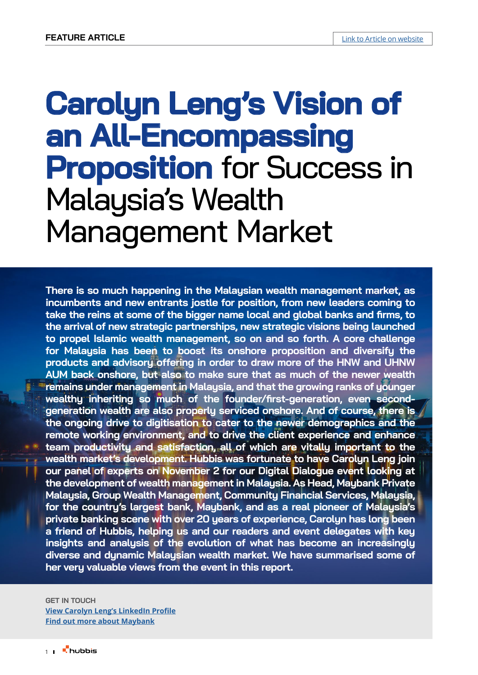# **Carolyn Leng's Vision of an All-Encompassing Proposition** for Success in Malaysia's Wealth Management Market

**There is so much happening in the Malaysian wealth management market, as incumbents and new entrants jostle for position, from new leaders coming to take the reins at some of the bigger name local and global banks and firms, to the arrival of new strategic partnerships, new strategic visions being launched to propel Islamic wealth management, so on and so forth. A core challenge for Malaysia has been to boost its onshore proposition and diversify the products and advisory offering in order to draw more of the HNW and UHNW AUM back onshore, but also to make sure that as much of the newer wealth**  *remains under management in Malaysia, and that the growing ranks of younger* **wealthy inheriting so much of the founder/first-generation, even secondgeneration wealth are also properly serviced onshore. And of course, there is the ongoing drive to digitisation to cater to the newer demographics and the remote working environment, and to drive the client experience and enhance team productivity and satisfaction, all of which are vitally important to the wealth market's development. Hubbis was fortunate to have Carolyn Leng join our panel of experts on November 2 for our Digital Dialogue event looking at the development of wealth management in Malaysia. As Head, Maybank Private Malaysia, Group Wealth Management, Community Financial Services, Malaysia, for the country's largest bank, Maybank, and as a real pioneer of Malaysia's private banking scene with over 20 years of experience, Carolyn has long been a friend of Hubbis, helping us and our readers and event delegates with key insights and analysis of the evolution of what has become an increasingly diverse and dynamic Malaysian wealth market. We have summarised some of her very valuable views from the event in this report.**

#### **GET IN TOUCH**

**[View Carolyn Leng's LinkedIn Profile](https://www.linkedin.com/in/carolyn-leng-0176394?lipi=urn%3Ali%3Apage%3Ad_flagship3_profile_view_base_contact_details%3BmyqqyRVJSpGWWpZdiLkq%2Fg%3D%3D) [Find out more about Maybank](http://www.maybank.com)**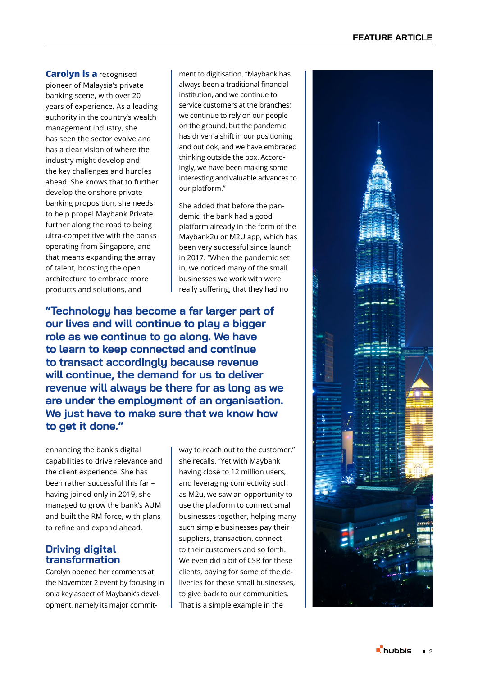**Carolyn is a** recognised pioneer of Malaysia's private banking scene, with over 20 years of experience. As a leading authority in the country's wealth management industry, she has seen the sector evolve and has a clear vision of where the industry might develop and the key challenges and hurdles ahead. She knows that to further develop the onshore private banking proposition, she needs to help propel Maybank Private further along the road to being ultra-competitive with the banks operating from Singapore, and that means expanding the array of talent, boosting the open architecture to embrace more products and solutions, and

ment to digitisation. "Maybank has always been a traditional financial institution, and we continue to service customers at the branches; we continue to rely on our people on the ground, but the pandemic has driven a shift in our positioning and outlook, and we have embraced thinking outside the box. Accord ingly, we have been making some interesting and valuable advances to our platform."

She added that before the pan demic, the bank had a good platform already in the form of the Maybank2u or M2U app, which has been very successful since launch in 2017. "When the pandemic set in, we noticed many of the small businesses we work with were really suffering, that they had no

**"Technology has become a far larger part of our lives and will continue to play a bigger role as we continue to go along. We have to learn to keep connected and continue to transact accordingly because revenue will continue, the demand for us to deliver revenue will always be there for as long as we are under the employment of an organisation. We just have to make sure that we know how to get it done."**

enhancing the bank's digital capabilities to drive relevance and the client experience. She has been rather successful this far – having joined only in 2019, she managed to grow the bank's AUM and built the RM force, with plans to refine and expand ahead.

#### **Driving digital transformation**

Carolyn opened her comments at the November 2 event by focusing in on a key aspect of Maybank's devel opment, namely its major commit -

way to reach out to the customer," she recalls. "Yet with Maybank having close to 12 million users, and leveraging connectivity such as M2u, we saw an opportunity to use the platform to connect small businesses together, helping many such simple businesses pay their suppliers, transaction, connect to their customers and so forth. We even did a bit of CSR for these clients, paying for some of the de liveries for these small businesses, to give back to our communities. That is a simple example in the

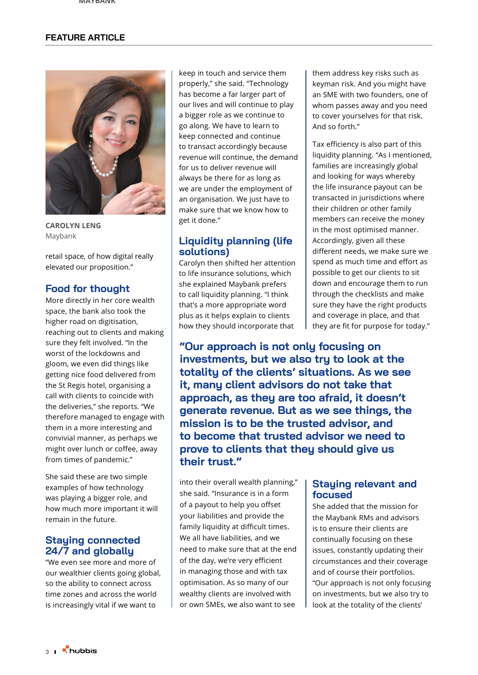#### **FEATURE ARTICLE**



**CAROLYN LENG** Maybank

retail space, of how digital really elevated our proposition."

#### **Food for thought**

More directly in her core wealth space, the bank also took the higher road on digitisation, reaching out to clients and making sure they felt involved. "In the worst of the lockdowns and gloom, we even did things like getting nice food delivered from the St Regis hotel, organising a call with clients to coincide with the deliveries," she reports. "We therefore managed to engage with them in a more interesting and convivial manner, as perhaps we might over lunch or coffee, away from times of pandemic."

She said these are two simple examples of how technology was playing a bigger role, and how much more important it will remain in the future.

#### **Staying connected 24/7 and globally**

"We even see more and more of our wealthier clients going global, so the ability to connect across time zones and across the world is increasingly vital if we want to

keep in touch and service them properly," she said. "Technology has become a far larger part of our lives and will continue to play a bigger role as we continue to go along. We have to learn to keep connected and continue to transact accordingly because revenue will continue, the demand for us to deliver revenue will always be there for as long as we are under the employment of an organisation. We just have to make sure that we know how to get it done."

#### **Liquidity planning (life solutions)**

Carolyn then shifted her attention to life insurance solutions, which she explained Maybank prefers to call liquidity planning. "I think that's a more appropriate word plus as it helps explain to clients how they should incorporate that

them address key risks such as keyman risk. And you might have an SME with two founders, one of whom passes away and you need to cover yourselves for that risk. And so forth."

Tax efficiency is also part of this liquidity planning. "As I mentioned, families are increasingly global and looking for ways whereby the life insurance payout can be transacted in jurisdictions where their children or other family members can receive the money in the most optimised manner. Accordingly, given all these different needs, we make sure we spend as much time and effort as possible to get our clients to sit down and encourage them to run through the checklists and make sure they have the right products and coverage in place, and that they are fit for purpose for today."

**"Our approach is not only focusing on investments, but we also try to look at the totality of the clients' situations. As we see it, many client advisors do not take that approach, as they are too afraid, it doesn't generate revenue. But as we see things, the mission is to be the trusted advisor, and to become that trusted advisor we need to prove to clients that they should give us their trust."**

into their overall wealth planning," she said. "Insurance is in a form of a payout to help you offset your liabilities and provide the family liquidity at difficult times. We all have liabilities, and we need to make sure that at the end of the day, we're very efficient in managing those and with tax optimisation. As so many of our wealthy clients are involved with or own SMEs, we also want to see

#### **Staying relevant and focused**

She added that the mission for the Maybank RMs and advisors is to ensure their clients are continually focusing on these issues, constantly updating their circumstances and their coverage and of course their portfolios. "Our approach is not only focusing on investments, but we also try to look at the totality of the clients'